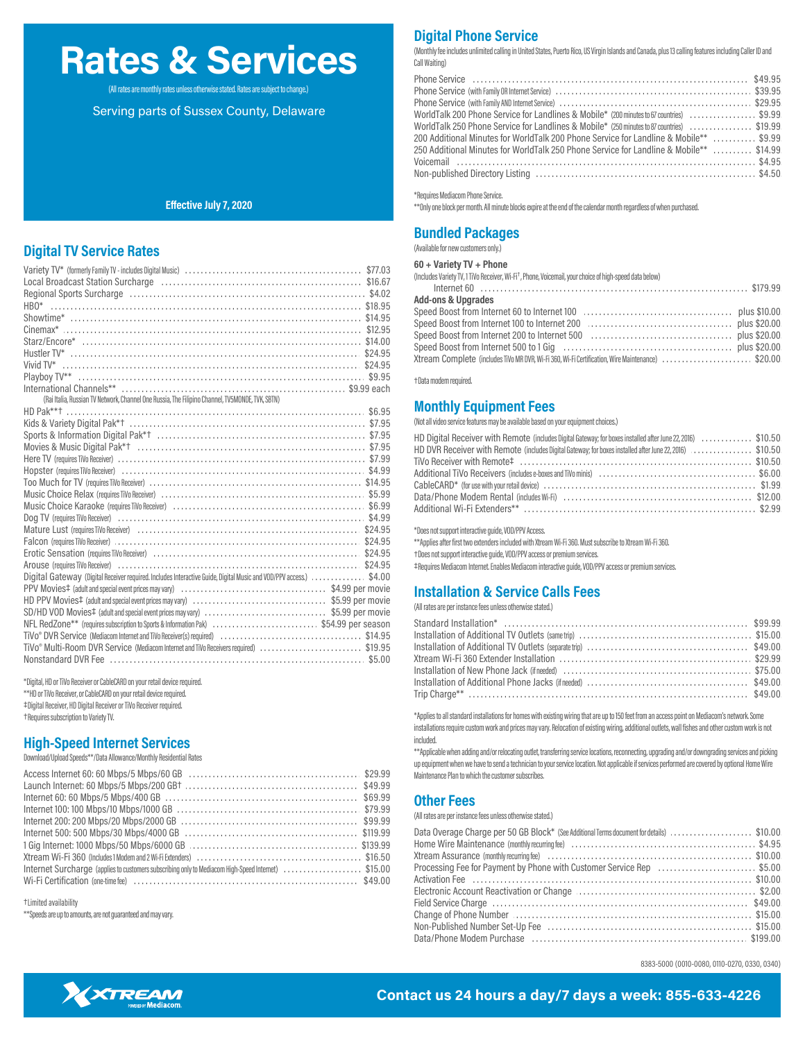# **Rates & Services**

(All rates are monthly rates unless otherwise stated. Rates are subject to change.)

Serving parts of Sussex County, Delaware

### **Effective July 7, 2020**

## **Digital TV Service Rates**

|                                                                                                                                                                                                                                | $00 + 001161$ $V + 0110116$                                                                                         |
|--------------------------------------------------------------------------------------------------------------------------------------------------------------------------------------------------------------------------------|---------------------------------------------------------------------------------------------------------------------|
|                                                                                                                                                                                                                                | (Includes Variety TV, 1 TiVo Receiver, Wi-Fi <sup>+</sup> , Phone, Voicemail, your choice of high-speed data below) |
|                                                                                                                                                                                                                                |                                                                                                                     |
|                                                                                                                                                                                                                                | <b>Add-ons &amp; Upgrades</b>                                                                                       |
|                                                                                                                                                                                                                                |                                                                                                                     |
|                                                                                                                                                                                                                                |                                                                                                                     |
|                                                                                                                                                                                                                                |                                                                                                                     |
|                                                                                                                                                                                                                                |                                                                                                                     |
|                                                                                                                                                                                                                                | Xtream Complete (includes TiVo MR DVR, Wi-Fi 360, Wi-Fi Certification, Wire Maintenance) \$20.00                    |
|                                                                                                                                                                                                                                |                                                                                                                     |
| International Channels** (and all contracts) and all contracts are seen that the second second second second second second second second second second second second second second second second second second second second s | +Data modem required                                                                                                |
| (Rai Italia, Russian TV Network, Channel One Russia, The Filipino Channel, TV5MONDE, TVK, SBTN)                                                                                                                                |                                                                                                                     |
|                                                                                                                                                                                                                                | <b>Monthly Equipment Fees</b>                                                                                       |
|                                                                                                                                                                                                                                | (Not all video service features may be available based on your equipment choices.)                                  |
|                                                                                                                                                                                                                                | HD Digital Receiver with Remote (includes Digital Gateway; for boxes installed after June 22, 2016) \$10.50         |
|                                                                                                                                                                                                                                | HD DVR Receiver with Remote (includes Digital Gateway; for boxes installed after June 22, 2016) \$10.50             |
|                                                                                                                                                                                                                                |                                                                                                                     |
|                                                                                                                                                                                                                                |                                                                                                                     |
|                                                                                                                                                                                                                                |                                                                                                                     |
|                                                                                                                                                                                                                                |                                                                                                                     |
|                                                                                                                                                                                                                                |                                                                                                                     |
|                                                                                                                                                                                                                                |                                                                                                                     |
| Mature Lust (requires TiVo Receiver) (1990) (1990) (1990) (1990) (1991) (1991) (1991) (1991) (1992) (1994) (19                                                                                                                 | *Does not support interactive guide, VOD/PPV Access.                                                                |
| Falcon (requires TiVo Receiver) (and accordination of the series of the series of the series TiVo Receiver) (and the series of the series of the series of the series of the series of the series of the series of the series  | ** Applies after first two extenders included with Xtream Wi-Fi 360. Must subscribe to Xtream Wi-Fi 360.            |
| Erotic Sensation (requires TiVo Receiver) (1999) (1999) (1999) (1999) (1999) (1999) (1999) (1999) (1999) (1999)                                                                                                                | +Does not support interactive quide, VOD/PPV access or premium services.                                            |
| Arouse (requires TiVo Receiver) (all all alternative content to the content of the second term of the second term of the second of the second of the second of the second of the second of the second of the second second sec | #Requires Mediacom Internet. Enables Mediacom interactive quide, VOD/PPV access or premium services.                |
| Digital Gateway (Digital Receiver required. Includes Interactive Guide, Digital Music and VOD/PPV access.) \$4.00                                                                                                              |                                                                                                                     |
|                                                                                                                                                                                                                                | <b>Installation &amp; Service Calls Fees</b>                                                                        |
|                                                                                                                                                                                                                                | (All rates are per instance fees unless otherwise stated.)                                                          |
| SD/HD VOD Movies‡ (adult and special event prices may vary) \$5.99 per movie                                                                                                                                                   |                                                                                                                     |
| NFL RedZone** (requires subscription to Sports & Information Pak) \$54.99 per season                                                                                                                                           |                                                                                                                     |
|                                                                                                                                                                                                                                |                                                                                                                     |
| TiVo <sup>®</sup> Multi-Room DVR Service (Mediacom Internet and TiVo Receivers required) \$19.95                                                                                                                               |                                                                                                                     |
|                                                                                                                                                                                                                                |                                                                                                                     |

\*Digital, HD or TiVo Receiver or CableCARD on your retail device required. \*\*HD or TiVo Receiver, or CableCARD on your retail device required. ‡Digital Receiver, HD Digital Receiver or TiVo Receiver required. †Requires subscription to Variety TV.

# **High-Speed Internet Services**

Download/Upload Speeds\*\*/Data Allowance/Monthly Residential Rates

|                                                                                                    | Maintenance Plan to which the customer subscribes.         |
|----------------------------------------------------------------------------------------------------|------------------------------------------------------------|
|                                                                                                    |                                                            |
|                                                                                                    | <b>Other Fees</b>                                          |
|                                                                                                    |                                                            |
|                                                                                                    | (All rates are per instance fees unless otherwise stated.) |
|                                                                                                    | Data Overage Charge per 50 GB Block*                       |
|                                                                                                    | Home Wire Maintenance (monthly recurring                   |
|                                                                                                    | Xtream Assurance (monthly recurring fee)                   |
| Internet Surcharge (applies to customers subscribing only to Mediacom High-Speed Internet) \$15.00 | Processing Fee for Payment by Phone                        |
|                                                                                                    | Activation Fee                                             |

†Limited availability

\*\*Speeds are up to amounts, are not guaranteed and may vary.

# **Digital Phone Service**

(Monthly fee includes unlimited calling in United States, Puerto Rico, US Virgin Islands and Canada, plus 13 calling features including Caller ID and Call Waiting)

| WorldTalk 200 Phone Service for Landlines & Mobile* (200 minutes to 67 countries) \$9.99  |
|-------------------------------------------------------------------------------------------|
| WorldTalk 250 Phone Service for Landlines & Mobile* (250 minutes to 87 countries) \$19.99 |
| 200 Additional Minutes for WorldTalk 200 Phone Service for Landline & Mobile**  \$9.99    |
| 250 Additional Minutes for WorldTalk 250 Phone Service for Landline & Mobile**  \$14.99   |
|                                                                                           |
|                                                                                           |

\*Requires Mediacom Phone Service.

\*\*Only one block per month. All minute blocks expire at the end of the calendar month regardless of when purchased.

### **Bundled Packages**

(Available for new customers only.)

### 60 + Variety TV + Phone

| <b>Add-ons &amp; Upgrades</b> |  |
|-------------------------------|--|
|                               |  |
|                               |  |
|                               |  |
|                               |  |

| HD Digital Receiver with Remote (includes Digital Gateway; for boxes installed after June 22, 2016) \$10.50 |  |
|-------------------------------------------------------------------------------------------------------------|--|
| HD DVR Receiver with Remote (includes Digital Gateway; for boxes installed after June 22, 2016) \$10.50     |  |
|                                                                                                             |  |
|                                                                                                             |  |
|                                                                                                             |  |
|                                                                                                             |  |
|                                                                                                             |  |

\*Applies to all standard installations for homes with existing wiring that are up to 150 feet from an access point on Mediacom's network. Some installations require custom work and prices may vary. Relocation of existing wiring, additional outlets, wall fishes and other custom work is not included.

\*\*Applicable when adding and/or relocating outlet, transferring service locations, reconnecting, upgrading and/or downgrading services and picking up equipment when we have to send a technician to your service location. Not applicable if services performed are covered by optional Home Wire

| Data Overage Charge per 50 GB Block* (See Additional Terms document for details) \$10.00 |  |
|------------------------------------------------------------------------------------------|--|
|                                                                                          |  |
|                                                                                          |  |
| Processing Fee for Payment by Phone with Customer Service Rep \$5.00                     |  |
|                                                                                          |  |
|                                                                                          |  |
|                                                                                          |  |
| Change of Phone Number (and according to the State of Phone St. 2000)                    |  |
|                                                                                          |  |
|                                                                                          |  |

8383-5000 (0010-0080, 0110-0270, 0330, 0340)